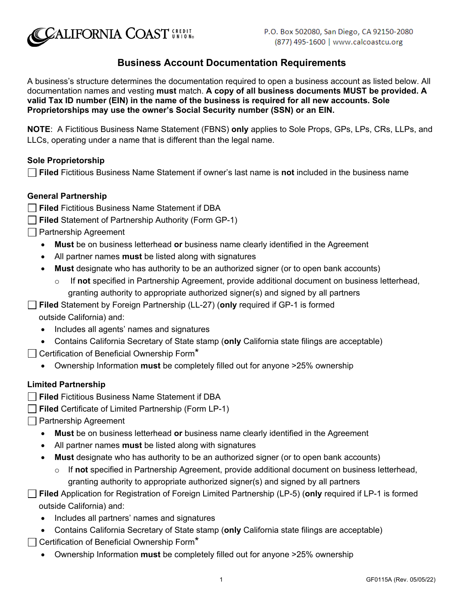

# **Business Account Documentation Requirements**

A business's structure determines the documentation required to open a business account as listed below. All documentation names and vesting **must** match. **A copy of all business documents MUST be provided. A valid Tax ID number (EIN) in the name of the business is required for all new accounts. Sole Proprietorships may use the owner's Social Security number (SSN) or an EIN.**

**NOTE**: A Fictitious Business Name Statement (FBNS) **only** applies to Sole Props, GPs, LPs, CRs, LLPs, and LLCs, operating under a name that is different than the legal name.

# **Sole Proprietorship**

**Filed** Fictitious Business Name Statement if owner's last name is **not** included in the business name

# **General Partnership**

- **Filed** Fictitious Business Name Statement if DBA
- **Filed** Statement of Partnership Authority (Form GP-1)
- **Partnership Agreement** 
	- **Must** be on business letterhead **or** business name clearly identified in the Agreement
	- All partner names **must** be listed along with signatures
	- **Must** designate who has authority to be an authorized signer (or to open bank accounts)
		- o If **not** specified in Partnership Agreement, provide additional document on business letterhead, granting authority to appropriate authorized signer(s) and signed by all partners

**Filed** Statement by Foreign Partnership (LL-27) (**only** required if GP-1 is formed outside California) and:

- Includes all agents' names and signatures
- Contains California Secretary of State stamp (**only** California state filings are acceptable)
- $\Box$  Certification of Beneficial Ownership Form $^{\star}$ 
	- Ownership Information **must** be completely filled out for anyone >25% ownership

#### **Limited Partnership**

- **Filed** Fictitious Business Name Statement if DBA
- **Filed** Certificate of Limited Partnership (Form LP-1)
- **Partnership Agreement** 
	- **Must** be on business letterhead **or** business name clearly identified in the Agreement
	- All partner names **must** be listed along with signatures
	- **Must** designate who has authority to be an authorized signer (or to open bank accounts)
		- o If **not** specified in Partnership Agreement, provide additional document on business letterhead, granting authority to appropriate authorized signer(s) and signed by all partners
- **Filed** Application for Registration of Foreign Limited Partnership (LP-5) (**only** required if LP-1 is formed outside California) and:
	- Includes all partners' names and signatures
	- Contains California Secretary of State stamp (**only** California state filings are acceptable)
- $\Box$  Certification of Beneficial Ownership Form<sup>\*</sup>
	- Ownership Information **must** be completely filled out for anyone >25% ownership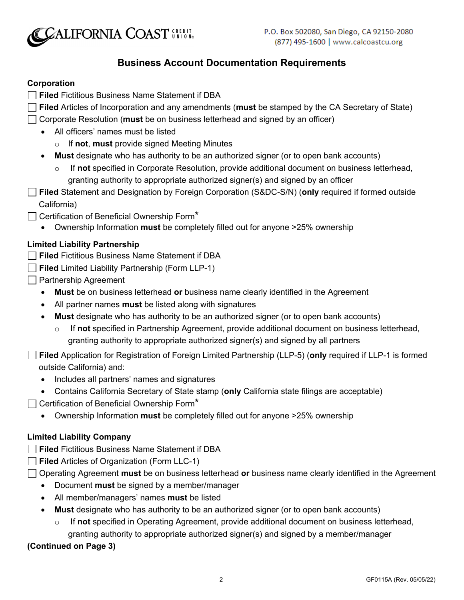

# **Business Account Documentation Requirements**

# **Corporation**

- **Filed** Fictitious Business Name Statement if DBA
- **Filed** Articles of Incorporation and any amendments (**must** be stamped by the CA Secretary of State)
- Corporate Resolution (**must** be on business letterhead and signed by an officer)
	- All officers' names must be listed
		- o If **not**, **must** provide signed Meeting Minutes
	- **Must** designate who has authority to be an authorized signer (or to open bank accounts)
		- o If **not** specified in Corporate Resolution, provide additional document on business letterhead, granting authority to appropriate authorized signer(s) and signed by an officer
- **Filed** Statement and Designation by Foreign Corporation (S&DC-S/N) (**only** required if formed outside California)
- $\Box$  Certification of Beneficial Ownership Form<sup>\*</sup>
	- Ownership Information **must** be completely filled out for anyone >25% ownership

# **Limited Liability Partnership**

- **Filed** Fictitious Business Name Statement if DBA
- **Filed** Limited Liability Partnership (Form LLP-1)
- **□ Partnership Agreement** 
	- **Must** be on business letterhead **or** business name clearly identified in the Agreement
	- All partner names **must** be listed along with signatures
	- **Must** designate who has authority to be an authorized signer (or to open bank accounts)
		- o If **not** specified in Partnership Agreement, provide additional document on business letterhead, granting authority to appropriate authorized signer(s) and signed by all partners

**Filed** Application for Registration of Foreign Limited Partnership (LLP-5) (**only** required if LLP-1 is formed outside California) and:

- Includes all partners' names and signatures
- Contains California Secretary of State stamp (**only** California state filings are acceptable)
- $\Box$  Certification of Beneficial Ownership Form<sup>\*</sup>
	- Ownership Information **must** be completely filled out for anyone >25% ownership

#### **Limited Liability Company**

- **Filed** Fictitious Business Name Statement if DBA
- **Filed** Articles of Organization (Form LLC-1)
- Operating Agreement **must** be on business letterhead **or** business name clearly identified in the Agreement
	- Document **must** be signed by a member/manager
	- All member/managers' names **must** be listed
	- **Must** designate who has authority to be an authorized signer (or to open bank accounts)
		- o If **not** specified in Operating Agreement, provide additional document on business letterhead,
			- granting authority to appropriate authorized signer(s) and signed by a member/manager

# **(Continued on Page 3)**